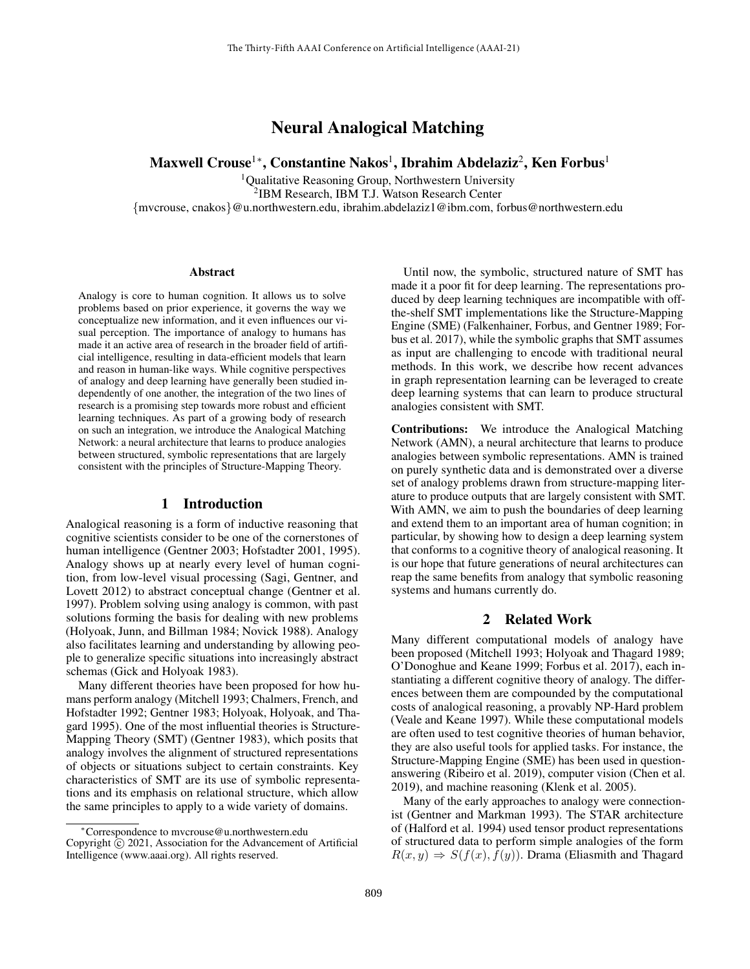# Neural Analogical Matching

# Maxwell Crouse $^{1*}$ , Constantine Nakos $^{1}$ , Ibrahim Abdelaziz $^{2}$ , Ken Forbus $^{1}$

<sup>1</sup>Qualitative Reasoning Group, Northwestern University 2 IBM Research, IBM T.J. Watson Research Center {mvcrouse, cnakos}@u.northwestern.edu, ibrahim.abdelaziz1@ibm.com, forbus@northwestern.edu

#### **Abstract**

Analogy is core to human cognition. It allows us to solve problems based on prior experience, it governs the way we conceptualize new information, and it even influences our visual perception. The importance of analogy to humans has made it an active area of research in the broader field of artificial intelligence, resulting in data-efficient models that learn and reason in human-like ways. While cognitive perspectives of analogy and deep learning have generally been studied independently of one another, the integration of the two lines of research is a promising step towards more robust and efficient learning techniques. As part of a growing body of research on such an integration, we introduce the Analogical Matching Network: a neural architecture that learns to produce analogies between structured, symbolic representations that are largely consistent with the principles of Structure-Mapping Theory.

## 1 Introduction

Analogical reasoning is a form of inductive reasoning that cognitive scientists consider to be one of the cornerstones of human intelligence (Gentner 2003; Hofstadter 2001, 1995). Analogy shows up at nearly every level of human cognition, from low-level visual processing (Sagi, Gentner, and Lovett 2012) to abstract conceptual change (Gentner et al. 1997). Problem solving using analogy is common, with past solutions forming the basis for dealing with new problems (Holyoak, Junn, and Billman 1984; Novick 1988). Analogy also facilitates learning and understanding by allowing people to generalize specific situations into increasingly abstract schemas (Gick and Holyoak 1983).

Many different theories have been proposed for how humans perform analogy (Mitchell 1993; Chalmers, French, and Hofstadter 1992; Gentner 1983; Holyoak, Holyoak, and Thagard 1995). One of the most influential theories is Structure-Mapping Theory (SMT) (Gentner 1983), which posits that analogy involves the alignment of structured representations of objects or situations subject to certain constraints. Key characteristics of SMT are its use of symbolic representations and its emphasis on relational structure, which allow the same principles to apply to a wide variety of domains.

Until now, the symbolic, structured nature of SMT has made it a poor fit for deep learning. The representations produced by deep learning techniques are incompatible with offthe-shelf SMT implementations like the Structure-Mapping Engine (SME) (Falkenhainer, Forbus, and Gentner 1989; Forbus et al. 2017), while the symbolic graphs that SMT assumes as input are challenging to encode with traditional neural methods. In this work, we describe how recent advances in graph representation learning can be leveraged to create deep learning systems that can learn to produce structural analogies consistent with SMT.

Contributions: We introduce the Analogical Matching Network (AMN), a neural architecture that learns to produce analogies between symbolic representations. AMN is trained on purely synthetic data and is demonstrated over a diverse set of analogy problems drawn from structure-mapping literature to produce outputs that are largely consistent with SMT. With AMN, we aim to push the boundaries of deep learning and extend them to an important area of human cognition; in particular, by showing how to design a deep learning system that conforms to a cognitive theory of analogical reasoning. It is our hope that future generations of neural architectures can reap the same benefits from analogy that symbolic reasoning systems and humans currently do.

#### 2 Related Work

Many different computational models of analogy have been proposed (Mitchell 1993; Holyoak and Thagard 1989; O'Donoghue and Keane 1999; Forbus et al. 2017), each instantiating a different cognitive theory of analogy. The differences between them are compounded by the computational costs of analogical reasoning, a provably NP-Hard problem (Veale and Keane 1997). While these computational models are often used to test cognitive theories of human behavior, they are also useful tools for applied tasks. For instance, the Structure-Mapping Engine (SME) has been used in questionanswering (Ribeiro et al. 2019), computer vision (Chen et al. 2019), and machine reasoning (Klenk et al. 2005).

Many of the early approaches to analogy were connectionist (Gentner and Markman 1993). The STAR architecture of (Halford et al. 1994) used tensor product representations of structured data to perform simple analogies of the form  $R(x, y) \Rightarrow S(f(x), f(y))$ . Drama (Eliasmith and Thagard

<sup>∗</sup>Correspondence to mvcrouse@u.northwestern.edu Copyright  $\overline{c}$  2021, Association for the Advancement of Artificial Intelligence (www.aaai.org). All rights reserved.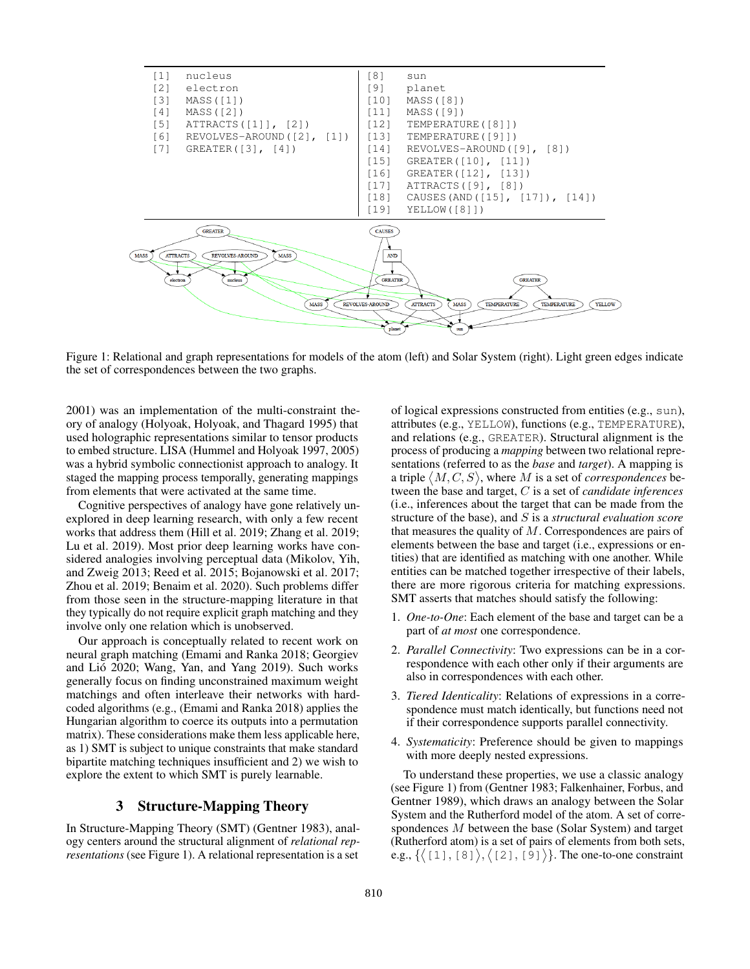

Figure 1: Relational and graph representations for models of the atom (left) and Solar System (right). Light green edges indicate the set of correspondences between the two graphs.

2001) was an implementation of the multi-constraint theory of analogy (Holyoak, Holyoak, and Thagard 1995) that used holographic representations similar to tensor products to embed structure. LISA (Hummel and Holyoak 1997, 2005) was a hybrid symbolic connectionist approach to analogy. It staged the mapping process temporally, generating mappings from elements that were activated at the same time.

Cognitive perspectives of analogy have gone relatively unexplored in deep learning research, with only a few recent works that address them (Hill et al. 2019; Zhang et al. 2019; Lu et al. 2019). Most prior deep learning works have considered analogies involving perceptual data (Mikolov, Yih, and Zweig 2013; Reed et al. 2015; Bojanowski et al. 2017; Zhou et al. 2019; Benaim et al. 2020). Such problems differ from those seen in the structure-mapping literature in that they typically do not require explicit graph matching and they involve only one relation which is unobserved.

Our approach is conceptually related to recent work on neural graph matching (Emami and Ranka 2018; Georgiev and Lió 2020; Wang, Yan, and Yang 2019). Such works generally focus on finding unconstrained maximum weight matchings and often interleave their networks with hardcoded algorithms (e.g., (Emami and Ranka 2018) applies the Hungarian algorithm to coerce its outputs into a permutation matrix). These considerations make them less applicable here, as 1) SMT is subject to unique constraints that make standard bipartite matching techniques insufficient and 2) we wish to explore the extent to which SMT is purely learnable.

## 3 Structure-Mapping Theory

In Structure-Mapping Theory (SMT) (Gentner 1983), analogy centers around the structural alignment of *relational representations* (see Figure 1). A relational representation is a set of logical expressions constructed from entities (e.g., sun), attributes (e.g., YELLOW), functions (e.g., TEMPERATURE), and relations (e.g., GREATER). Structural alignment is the process of producing a *mapping* between two relational representations (referred to as the *base* and *target*). A mapping is a triple  $\langle M, C, S \rangle$ , where M is a set of *correspondences* between the base and target, C is a set of *candidate inferences* (i.e., inferences about the target that can be made from the structure of the base), and S is a *structural evaluation score* that measures the quality of  $M$ . Correspondences are pairs of elements between the base and target (i.e., expressions or entities) that are identified as matching with one another. While entities can be matched together irrespective of their labels, there are more rigorous criteria for matching expressions. SMT asserts that matches should satisfy the following:

- 1. *One-to-One*: Each element of the base and target can be a part of *at most* one correspondence.
- 2. *Parallel Connectivity*: Two expressions can be in a correspondence with each other only if their arguments are also in correspondences with each other.
- 3. *Tiered Identicality*: Relations of expressions in a correspondence must match identically, but functions need not if their correspondence supports parallel connectivity.
- 4. *Systematicity*: Preference should be given to mappings with more deeply nested expressions.

To understand these properties, we use a classic analogy (see Figure 1) from (Gentner 1983; Falkenhainer, Forbus, and Gentner 1989), which draws an analogy between the Solar System and the Rutherford model of the atom. A set of correspondences M between the base (Solar System) and target (Rutherford atom) is a set of pairs of elements from both sets, e.g.,  $\{ \langle 11, 8 \rangle, \langle 21, 9 \rangle \}$ . The one-to-one constraint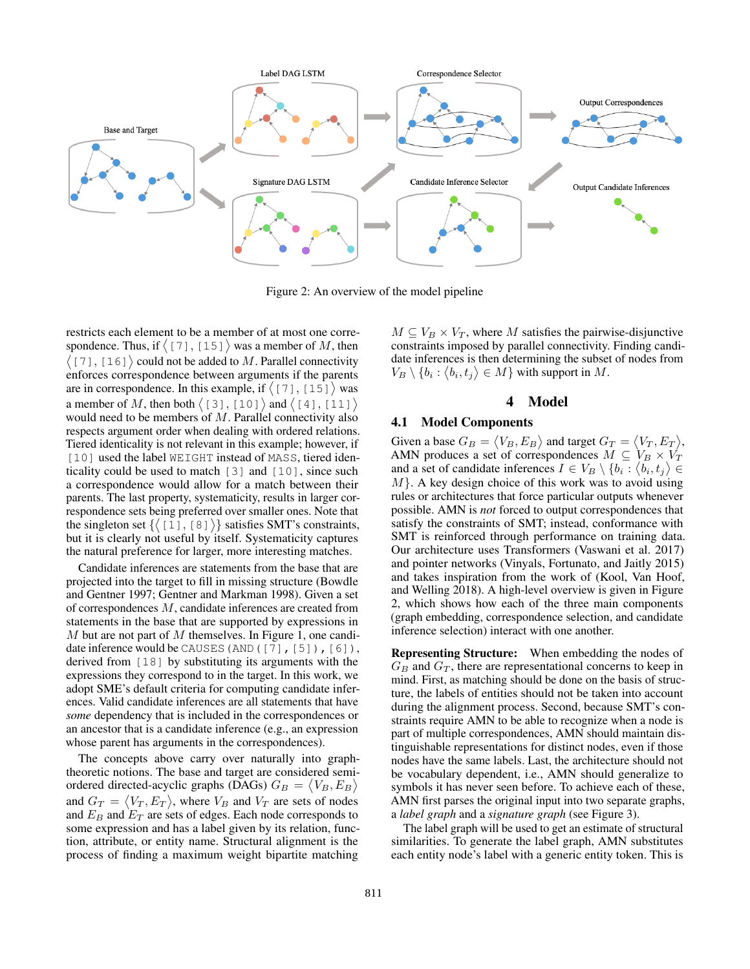

Figure 2: An overview of the model pipeline

restricts each element to be a member of at most one correspondence. Thus, if  $\langle 17 \, 1, 15 \, 1 \rangle$  was a member of M, then  $(7, 16)$  could not be added to M. Parallel connectivity enforces correspondence between arguments if the parents are in correspondence. In this example, if  $\langle 17 \, 1, 15 \, 1 \rangle$  was a member of M, then both  $\langle 131, 101 \rangle$  and  $\langle 141, 111 \rangle$ would need to be members of  $M$ . Parallel connectivity also respects argument order when dealing with ordered relations. Tiered identicality is not relevant in this example; however, if [10] used the label WEIGHT instead of MASS, tiered identicality could be used to match [3] and [10], since such a correspondence would allow for a match between their parents. The last property, systematicity, results in larger correspondence sets being preferred over smaller ones. Note that the singleton set  $\{([1], [8]\})\}$  satisfies SMT's constraints, but it is clearly not useful by itself. Systematicity captures the natural preference for larger, more interesting matches.

Candidate inferences are statements from the base that are projected into the target to fill in missing structure (Bowdle and Gentner 1997; Gentner and Markman 1998). Given a set of correspondences M, candidate inferences are created from statements in the base that are supported by expressions in  $M$  but are not part of  $M$  themselves. In Figure 1, one candidate inference would be CAUSES (AND ([7], [5]), [6]), derived from [18] by substituting its arguments with the expressions they correspond to in the target. In this work, we adopt SME's default criteria for computing candidate inferences. Valid candidate inferences are all statements that have *some* dependency that is included in the correspondences or an ancestor that is a candidate inference (e.g., an expression whose parent has arguments in the correspondences).

The concepts above carry over naturally into graphtheoretic notions. The base and target are considered semiordered directed-acyclic graphs (DAGs)  $G_B = \langle V_B, E_B \rangle$ and  $G_T = \langle V_T, E_T \rangle$ , where  $V_B$  and  $V_T$  are sets of nodes and  $E_B$  and  $E_T$  are sets of edges. Each node corresponds to some expression and has a label given by its relation, function, attribute, or entity name. Structural alignment is the process of finding a maximum weight bipartite matching

 $M \subseteq V_B \times V_T$ , where M satisfies the pairwise-disjunctive constraints imposed by parallel connectivity. Finding candidate inferences is then determining the subset of nodes from  $V_B \setminus \{b_i : \langle b_i, t_j \rangle \in M\}$  with support in M.

#### 4 Model

#### 4.1 Model Components

Given a base  $G_B = \langle V_B, E_B \rangle$  and target  $G_T = \langle V_T, E_T \rangle$ , AMN produces a set of correspondences  $M \subseteq V_B \times V_T$ and a set of candidate inferences  $I \in V_B \setminus \{b_i : \langle b_i, t_j \rangle \in$  $M$ . A key design choice of this work was to avoid using rules or architectures that force particular outputs whenever possible. AMN is *not* forced to output correspondences that satisfy the constraints of SMT; instead, conformance with SMT is reinforced through performance on training data. Our architecture uses Transformers (Vaswani et al. 2017) and pointer networks (Vinyals, Fortunato, and Jaitly 2015) and takes inspiration from the work of (Kool, Van Hoof, and Welling 2018). A high-level overview is given in Figure 2, which shows how each of the three main components (graph embedding, correspondence selection, and candidate inference selection) interact with one another.

Representing Structure: When embedding the nodes of  $G_B$  and  $G_T$ , there are representational concerns to keep in mind. First, as matching should be done on the basis of structure, the labels of entities should not be taken into account during the alignment process. Second, because SMT's constraints require AMN to be able to recognize when a node is part of multiple correspondences, AMN should maintain distinguishable representations for distinct nodes, even if those nodes have the same labels. Last, the architecture should not be vocabulary dependent, i.e., AMN should generalize to symbols it has never seen before. To achieve each of these, AMN first parses the original input into two separate graphs, a *label graph* and a *signature graph* (see Figure 3).

The label graph will be used to get an estimate of structural similarities. To generate the label graph, AMN substitutes each entity node's label with a generic entity token. This is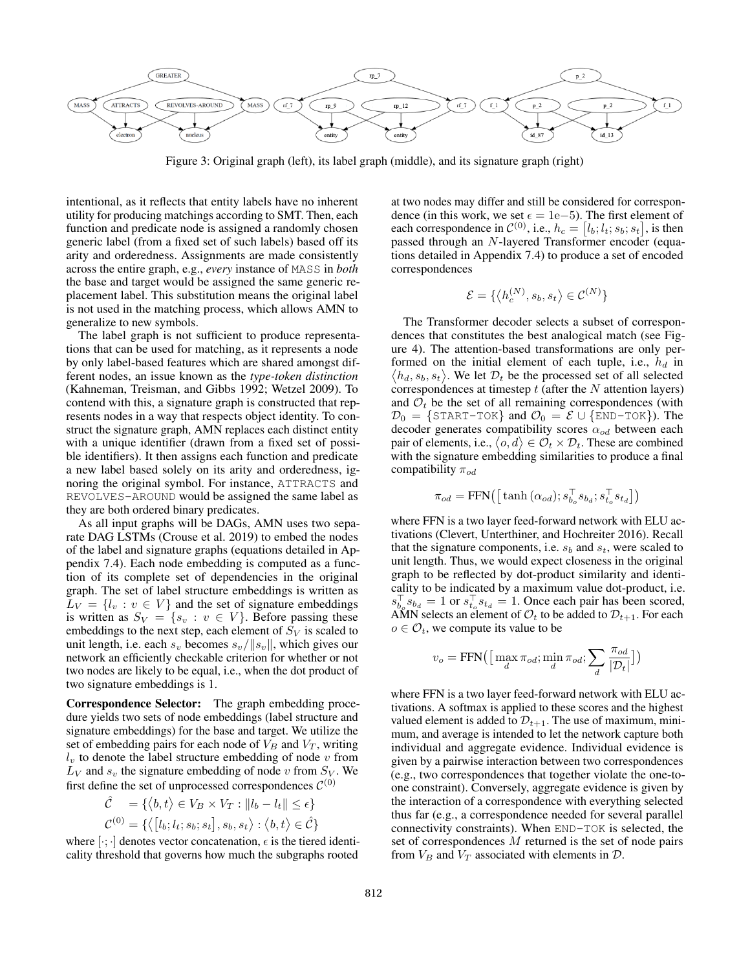

Figure 3: Original graph (left), its label graph (middle), and its signature graph (right)

intentional, as it reflects that entity labels have no inherent utility for producing matchings according to SMT. Then, each function and predicate node is assigned a randomly chosen generic label (from a fixed set of such labels) based off its arity and orderedness. Assignments are made consistently across the entire graph, e.g., *every* instance of MASS in *both* the base and target would be assigned the same generic replacement label. This substitution means the original label is not used in the matching process, which allows AMN to generalize to new symbols.

The label graph is not sufficient to produce representations that can be used for matching, as it represents a node by only label-based features which are shared amongst different nodes, an issue known as the *type-token distinction* (Kahneman, Treisman, and Gibbs 1992; Wetzel 2009). To contend with this, a signature graph is constructed that represents nodes in a way that respects object identity. To construct the signature graph, AMN replaces each distinct entity with a unique identifier (drawn from a fixed set of possible identifiers). It then assigns each function and predicate a new label based solely on its arity and orderedness, ignoring the original symbol. For instance, ATTRACTS and REVOLVES-AROUND would be assigned the same label as they are both ordered binary predicates.

As all input graphs will be DAGs, AMN uses two separate DAG LSTMs (Crouse et al. 2019) to embed the nodes of the label and signature graphs (equations detailed in Appendix 7.4). Each node embedding is computed as a function of its complete set of dependencies in the original graph. The set of label structure embeddings is written as  $L_V = \{l_v : v \in V\}$  and the set of signature embeddings is written as  $S_V = \{s_v : v \in V\}$ . Before passing these embeddings to the next step, each element of  $S_V$  is scaled to unit length, i.e. each  $s_v$  becomes  $s_v/||s_v||$ , which gives our network an efficiently checkable criterion for whether or not two nodes are likely to be equal, i.e., when the dot product of two signature embeddings is 1.

Correspondence Selector: The graph embedding procedure yields two sets of node embeddings (label structure and signature embeddings) for the base and target. We utilize the set of embedding pairs for each node of  $V_B$  and  $V_T$ , writing  $l_v$  to denote the label structure embedding of node v from  $L_V$  and  $s_v$  the signature embedding of node v from  $S_V$ . We first define the set of unprocessed correspondences  $\mathcal{C}^{(0)}$ 

$$
\hat{\mathcal{C}} = \{ \langle b, t \rangle \in V_B \times V_T : ||l_b - l_t|| \le \epsilon \}
$$
  

$$
\mathcal{C}^{(0)} = \{ \langle [l_b; l_t; s_b; s_t], s_b, s_t \rangle : \langle b, t \rangle \in \hat{\mathcal{C}} \}
$$

where  $[\cdot; \cdot]$  denotes vector concatenation,  $\epsilon$  is the tiered identicality threshold that governs how much the subgraphs rooted

at two nodes may differ and still be considered for correspondence (in this work, we set  $\epsilon = 1e-5$ ). The first element of each correspondence in  $\mathcal{C}^{(0)}$ , i.e.,  $h_c = [l_b; l_t; s_b; s_t]$ , is then passed through an N-layered Transformer encoder (equations detailed in Appendix 7.4) to produce a set of encoded correspondences

$$
\mathcal{E} = \{ \langle h_c^{(N)}, s_b, s_t \rangle \in \mathcal{C}^{(N)} \}
$$

The Transformer decoder selects a subset of correspondences that constitutes the best analogical match (see Figure 4). The attention-based transformations are only performed on the initial element of each tuple, i.e.,  $h_d$  in  $\langle h_d, s_b, s_t \rangle$ . We let  $\mathcal{D}_t$  be the processed set of all selected correspondences at timestep  $t$  (after the  $N$  attention layers) and  $\mathcal{O}_t$  be the set of all remaining correspondences (with  $\mathcal{D}_0 = \{\text{START-TOK}\}\$  and  $\mathcal{O}_0 = \mathcal{E} \cup \{\text{END-TOK}\}\)$ . The decoder generates compatibility scores  $\alpha_{od}$  between each pair of elements, i.e.,  $\langle o, d \rangle \in \mathcal{O}_t \times \mathcal{D}_t$ . These are combined with the signature embedding similarities to produce a final compatibility  $\pi_{od}$ 

$$
\pi_{od} = \text{FFN}\left(\left[\tanh\left(\alpha_{od}\right); s_{b_o}^\top s_{b_d}; s_{t_o}^\top s_{t_d}\right]\right)
$$

where FFN is a two layer feed-forward network with ELU activations (Clevert, Unterthiner, and Hochreiter 2016). Recall that the signature components, i.e.  $s_b$  and  $s_t$ , were scaled to unit length. Thus, we would expect closeness in the original graph to be reflected by dot-product similarity and identicality to be indicated by a maximum value dot-product, i.e.  $s_{b_o}^{\top} s_{b_d} = 1$  or  $s_{t_o}^{\top} s_{t_d} = 1$ . Once each pair has been scored, AMN selects an element of  $\mathcal{O}_t$  to be added to  $\mathcal{D}_{t+1}$ . For each  $o \in \mathcal{O}_t$ , we compute its value to be

$$
v_o = \text{FFN}\big(\big[\max_d \pi_{od}; \min_d \pi_{od}; \sum_d \frac{\pi_{od}}{|\mathcal{D}_t|}\big]\big)
$$

where FFN is a two layer feed-forward network with ELU activations. A softmax is applied to these scores and the highest valued element is added to  $\mathcal{D}_{t+1}$ . The use of maximum, minimum, and average is intended to let the network capture both individual and aggregate evidence. Individual evidence is given by a pairwise interaction between two correspondences (e.g., two correspondences that together violate the one-toone constraint). Conversely, aggregate evidence is given by the interaction of a correspondence with everything selected thus far (e.g., a correspondence needed for several parallel connectivity constraints). When END-TOK is selected, the set of correspondences M returned is the set of node pairs from  $V_B$  and  $V_T$  associated with elements in  $D$ .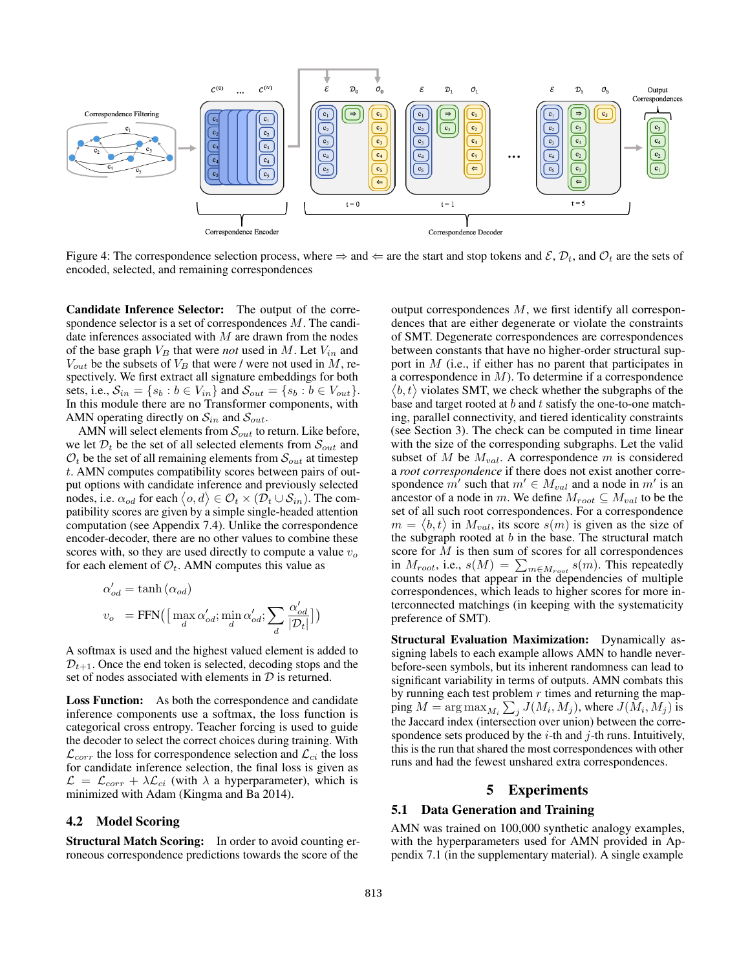

Figure 4: The correspondence selection process, where  $\Rightarrow$  and  $\Leftarrow$  are the start and stop tokens and  $\mathcal{E}, \mathcal{D}_t$ , and  $\mathcal{O}_t$  are the sets of encoded, selected, and remaining correspondences

Candidate Inference Selector: The output of the correspondence selector is a set of correspondences M. The candidate inferences associated with  $M$  are drawn from the nodes of the base graph  $V_B$  that were *not* used in M. Let  $V_{in}$  and  $V_{out}$  be the subsets of  $V_B$  that were / were not used in M, respectively. We first extract all signature embeddings for both sets, i.e.,  $S_{in} = \{s_b : b \in V_{in}\}\$ and  $S_{out} = \{s_b : b \in V_{out}\}\$ . In this module there are no Transformer components, with AMN operating directly on  $S_{in}$  and  $S_{out}$ .

AMN will select elements from  $\mathcal{S}_{out}$  to return. Like before, we let  $\mathcal{D}_t$  be the set of all selected elements from  $\mathcal{S}_{out}$  and  $\mathcal{O}_t$  be the set of all remaining elements from  $\mathcal{S}_{out}$  at timestep t. AMN computes compatibility scores between pairs of output options with candidate inference and previously selected nodes, i.e.  $\alpha_{od}$  for each  $\langle o, d \rangle \in \mathcal{O}_t \times (\overline{\mathcal{D}_t \cup \mathcal{S}_{in}})$ . The compatibility scores are given by a simple single-headed attention computation (see Appendix 7.4). Unlike the correspondence encoder-decoder, there are no other values to combine these scores with, so they are used directly to compute a value  $v<sub>o</sub>$ for each element of  $\mathcal{O}_t$ . AMN computes this value as

$$
\begin{aligned} \alpha'_{od} &= \tanh{(\alpha_{od})} \\ v_o &= \text{FFN}\big(\big[\max_d{\alpha'_{od}}; \min_d{\alpha'_{od}}; \sum_d{\frac{\alpha'_{od}}{|\mathcal{D}_t|}}\big]\big) \end{aligned}
$$

A softmax is used and the highest valued element is added to  $\mathcal{D}_{t+1}$ . Once the end token is selected, decoding stops and the set of nodes associated with elements in  $D$  is returned.

Loss Function: As both the correspondence and candidate inference components use a softmax, the loss function is categorical cross entropy. Teacher forcing is used to guide the decoder to select the correct choices during training. With  $\mathcal{L}_{corr}$  the loss for correspondence selection and  $\mathcal{L}_{ci}$  the loss for candidate inference selection, the final loss is given as  $\mathcal{L} = \mathcal{L}_{corr} + \lambda \mathcal{L}_{ci}$  (with  $\lambda$  a hyperparameter), which is minimized with Adam (Kingma and Ba 2014).

## 4.2 Model Scoring

Structural Match Scoring: In order to avoid counting erroneous correspondence predictions towards the score of the

output correspondences M, we first identify all correspondences that are either degenerate or violate the constraints of SMT. Degenerate correspondences are correspondences between constants that have no higher-order structural support in M (i.e., if either has no parent that participates in a correspondence in M). To determine if a correspondence  $\langle b, t \rangle$  violates SMT, we check whether the subgraphs of the base and target rooted at  $b$  and  $t$  satisfy the one-to-one matching, parallel connectivity, and tiered identicality constraints (see Section 3). The check can be computed in time linear with the size of the corresponding subgraphs. Let the valid subset of M be  $M_{val}$ . A correspondence m is considered a *root correspondence* if there does not exist another correspondence  $m'$  such that  $m' \in M_{val}$  and a node in  $m'$  is an ancestor of a node in m. We define  $M_{root} \subseteq M_{val}$  to be the set of all such root correspondences. For a correspondence  $m = \langle b, t \rangle$  in  $M_{val}$ , its score  $s(m)$  is given as the size of the subgraph rooted at  $b$  in the base. The structural match score for  $M$  is then sum of scores for all correspondences in  $M_{root}$ , i.e.,  $s(M) = \sum_{m \in M_{root}} s(m)$ . This repeatedly counts nodes that appear in the dependencies of multiple correspondences, which leads to higher scores for more interconnected matchings (in keeping with the systematicity preference of SMT).

Structural Evaluation Maximization: Dynamically assigning labels to each example allows AMN to handle neverbefore-seen symbols, but its inherent randomness can lead to significant variability in terms of outputs. AMN combats this by running each test problem  $r$  times and returning the mapping  $M = \arg \max_{M_i} \sum_j J(M_i, M_j)$ , where  $J(M_i, M_j)$  is the Jaccard index (intersection over union) between the correspondence sets produced by the  $i$ -th and  $j$ -th runs. Intuitively, this is the run that shared the most correspondences with other runs and had the fewest unshared extra correspondences.

## 5 Experiments

#### 5.1 Data Generation and Training

AMN was trained on 100,000 synthetic analogy examples, with the hyperparameters used for AMN provided in Appendix 7.1 (in the supplementary material). A single example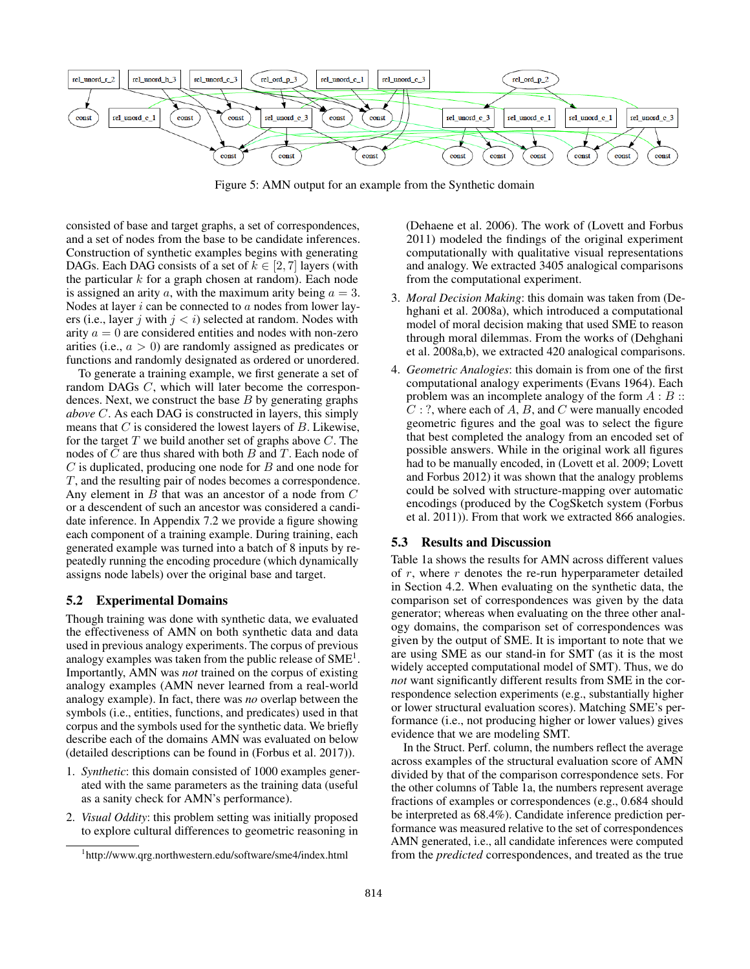

Figure 5: AMN output for an example from the Synthetic domain

consisted of base and target graphs, a set of correspondences, and a set of nodes from the base to be candidate inferences. Construction of synthetic examples begins with generating DAGs. Each DAG consists of a set of  $k \in [2, 7]$  layers (with the particular  $k$  for a graph chosen at random). Each node is assigned an arity a, with the maximum arity being  $a = 3$ . Nodes at layer  $i$  can be connected to  $a$  nodes from lower layers (i.e., layer j with  $j < i$ ) selected at random. Nodes with arity  $a = 0$  are considered entities and nodes with non-zero arities (i.e.,  $a > 0$ ) are randomly assigned as predicates or functions and randomly designated as ordered or unordered.

To generate a training example, we first generate a set of random DAGs C, which will later become the correspondences. Next, we construct the base  $B$  by generating graphs *above* C. As each DAG is constructed in layers, this simply means that  $C$  is considered the lowest layers of  $B$ . Likewise, for the target  $T$  we build another set of graphs above  $C$ . The nodes of  $C$  are thus shared with both  $B$  and  $T$ . Each node of  $C$  is duplicated, producing one node for  $B$  and one node for T, and the resulting pair of nodes becomes a correspondence. Any element in  $B$  that was an ancestor of a node from  $C$ or a descendent of such an ancestor was considered a candidate inference. In Appendix 7.2 we provide a figure showing each component of a training example. During training, each generated example was turned into a batch of 8 inputs by repeatedly running the encoding procedure (which dynamically assigns node labels) over the original base and target.

#### 5.2 Experimental Domains

Though training was done with synthetic data, we evaluated the effectiveness of AMN on both synthetic data and data used in previous analogy experiments. The corpus of previous analogy examples was taken from the public release of  $SME<sup>1</sup>$ . Importantly, AMN was *not* trained on the corpus of existing analogy examples (AMN never learned from a real-world analogy example). In fact, there was *no* overlap between the symbols (i.e., entities, functions, and predicates) used in that corpus and the symbols used for the synthetic data. We briefly describe each of the domains AMN was evaluated on below (detailed descriptions can be found in (Forbus et al. 2017)).

- 1. *Synthetic*: this domain consisted of 1000 examples generated with the same parameters as the training data (useful as a sanity check for AMN's performance).
- 2. *Visual Oddity*: this problem setting was initially proposed to explore cultural differences to geometric reasoning in

(Dehaene et al. 2006). The work of (Lovett and Forbus 2011) modeled the findings of the original experiment computationally with qualitative visual representations and analogy. We extracted 3405 analogical comparisons from the computational experiment.

- 3. *Moral Decision Making*: this domain was taken from (Dehghani et al. 2008a), which introduced a computational model of moral decision making that used SME to reason through moral dilemmas. From the works of (Dehghani et al. 2008a,b), we extracted 420 analogical comparisons.
- 4. *Geometric Analogies*: this domain is from one of the first computational analogy experiments (Evans 1964). Each problem was an incomplete analogy of the form  $A : B ::$  $C:$ ?, where each of A, B, and C were manually encoded geometric figures and the goal was to select the figure that best completed the analogy from an encoded set of possible answers. While in the original work all figures had to be manually encoded, in (Lovett et al. 2009; Lovett and Forbus 2012) it was shown that the analogy problems could be solved with structure-mapping over automatic encodings (produced by the CogSketch system (Forbus et al. 2011)). From that work we extracted 866 analogies.

#### 5.3 Results and Discussion

Table 1a shows the results for AMN across different values of  $r$ , where  $r$  denotes the re-run hyperparameter detailed in Section 4.2. When evaluating on the synthetic data, the comparison set of correspondences was given by the data generator; whereas when evaluating on the three other analogy domains, the comparison set of correspondences was given by the output of SME. It is important to note that we are using SME as our stand-in for SMT (as it is the most widely accepted computational model of SMT). Thus, we do *not* want significantly different results from SME in the correspondence selection experiments (e.g., substantially higher or lower structural evaluation scores). Matching SME's performance (i.e., not producing higher or lower values) gives evidence that we are modeling SMT.

In the Struct. Perf. column, the numbers reflect the average across examples of the structural evaluation score of AMN divided by that of the comparison correspondence sets. For the other columns of Table 1a, the numbers represent average fractions of examples or correspondences (e.g., 0.684 should be interpreted as 68.4%). Candidate inference prediction performance was measured relative to the set of correspondences AMN generated, i.e., all candidate inferences were computed from the *predicted* correspondences, and treated as the true

<sup>1</sup> http://www.qrg.northwestern.edu/software/sme4/index.html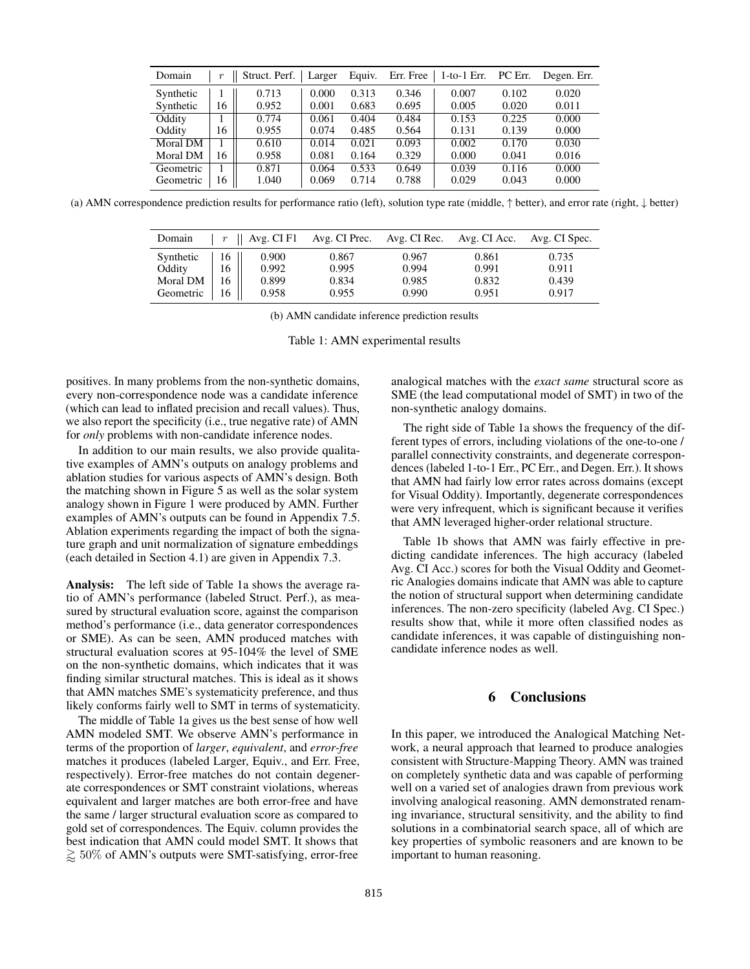| Domain    | $\boldsymbol{r}$ | Struct. Perf. | Larger | Equiv. | Err. Free | 1-to-1 Err. | PC Err. | Degen. Err. |
|-----------|------------------|---------------|--------|--------|-----------|-------------|---------|-------------|
| Synthetic |                  | 0.713         | 0.000  | 0.313  | 0.346     | 0.007       | 0.102   | 0.020       |
| Synthetic | 16               | 0.952         | 0.001  | 0.683  | 0.695     | 0.005       | 0.020   | 0.011       |
| Oddity    |                  | 0.774         | 0.061  | 0.404  | 0.484     | 0.153       | 0.225   | 0.000       |
| Oddity    | 16               | 0.955         | 0.074  | 0.485  | 0.564     | 0.131       | 0.139   | 0.000       |
| Moral DM  |                  | 0.610         | 0.014  | 0.021  | 0.093     | 0.002       | 0.170   | 0.030       |
| Moral DM  | 16               | 0.958         | 0.081  | 0.164  | 0.329     | 0.000       | 0.041   | 0.016       |
| Geometric |                  | 0.871         | 0.064  | 0.533  | 0.649     | 0.039       | 0.116   | 0.000       |
| Geometric | 16               | 1.040         | 0.069  | 0.714  | 0.788     | 0.029       | 0.043   | 0.000       |

(a) AMN correspondence prediction results for performance ratio (left), solution type rate (middle, ↑ better), and error rate (right, ↓ better)

| Domain             | $\boldsymbol{r}$ | Avg. CI F1     | Avg. CI Prec. Avg. CI Rec. Avg. CI Acc. |                |                | Avg. CI Spec.  |
|--------------------|------------------|----------------|-----------------------------------------|----------------|----------------|----------------|
| Synthetic          | 16               | 0.900          | 0.867                                   | 0.967          | 0.861          | 0.735          |
| Oddity<br>Moral DM | 16<br>16         | 0.992<br>0.899 | 0.995<br>0.834                          | 0.994<br>0.985 | 0.991<br>0.832 | 0.911<br>0.439 |
| Geometric          | 16               | 0.958          | 0.955                                   | 0.990          | 0.951          | 0.917          |

(b) AMN candidate inference prediction results

Table 1: AMN experimental results

positives. In many problems from the non-synthetic domains, every non-correspondence node was a candidate inference (which can lead to inflated precision and recall values). Thus, we also report the specificity (i.e., true negative rate) of AMN for *only* problems with non-candidate inference nodes.

In addition to our main results, we also provide qualitative examples of AMN's outputs on analogy problems and ablation studies for various aspects of AMN's design. Both the matching shown in Figure 5 as well as the solar system analogy shown in Figure 1 were produced by AMN. Further examples of AMN's outputs can be found in Appendix 7.5. Ablation experiments regarding the impact of both the signature graph and unit normalization of signature embeddings (each detailed in Section 4.1) are given in Appendix 7.3.

Analysis: The left side of Table 1a shows the average ratio of AMN's performance (labeled Struct. Perf.), as measured by structural evaluation score, against the comparison method's performance (i.e., data generator correspondences or SME). As can be seen, AMN produced matches with structural evaluation scores at 95-104% the level of SME on the non-synthetic domains, which indicates that it was finding similar structural matches. This is ideal as it shows that AMN matches SME's systematicity preference, and thus likely conforms fairly well to SMT in terms of systematicity.

The middle of Table 1a gives us the best sense of how well AMN modeled SMT. We observe AMN's performance in terms of the proportion of *larger*, *equivalent*, and *error-free* matches it produces (labeled Larger, Equiv., and Err. Free, respectively). Error-free matches do not contain degenerate correspondences or SMT constraint violations, whereas equivalent and larger matches are both error-free and have the same / larger structural evaluation score as compared to gold set of correspondences. The Equiv. column provides the best indication that AMN could model SMT. It shows that  $\gtrsim 50\%$  of AMN's outputs were SMT-satisfying, error-free

analogical matches with the *exact same* structural score as SME (the lead computational model of SMT) in two of the non-synthetic analogy domains.

The right side of Table 1a shows the frequency of the different types of errors, including violations of the one-to-one / parallel connectivity constraints, and degenerate correspondences (labeled 1-to-1 Err., PC Err., and Degen. Err.). It shows that AMN had fairly low error rates across domains (except for Visual Oddity). Importantly, degenerate correspondences were very infrequent, which is significant because it verifies that AMN leveraged higher-order relational structure.

Table 1b shows that AMN was fairly effective in predicting candidate inferences. The high accuracy (labeled Avg. CI Acc.) scores for both the Visual Oddity and Geometric Analogies domains indicate that AMN was able to capture the notion of structural support when determining candidate inferences. The non-zero specificity (labeled Avg. CI Spec.) results show that, while it more often classified nodes as candidate inferences, it was capable of distinguishing noncandidate inference nodes as well.

## 6 Conclusions

In this paper, we introduced the Analogical Matching Network, a neural approach that learned to produce analogies consistent with Structure-Mapping Theory. AMN was trained on completely synthetic data and was capable of performing well on a varied set of analogies drawn from previous work involving analogical reasoning. AMN demonstrated renaming invariance, structural sensitivity, and the ability to find solutions in a combinatorial search space, all of which are key properties of symbolic reasoners and are known to be important to human reasoning.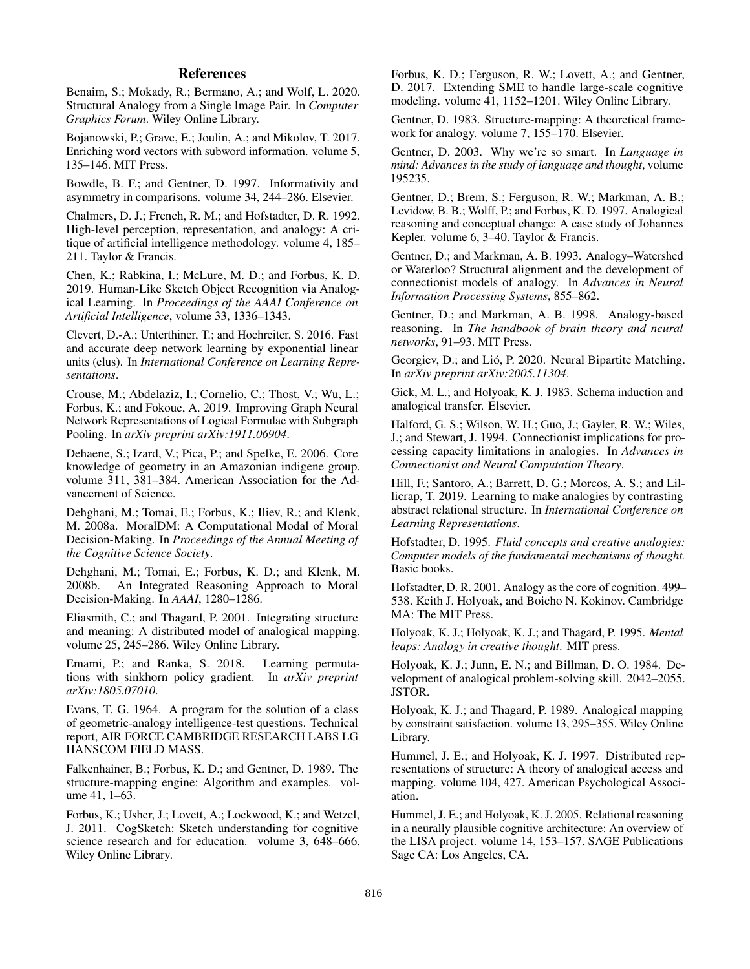# References

Benaim, S.; Mokady, R.; Bermano, A.; and Wolf, L. 2020. Structural Analogy from a Single Image Pair. In *Computer Graphics Forum*. Wiley Online Library.

Bojanowski, P.; Grave, E.; Joulin, A.; and Mikolov, T. 2017. Enriching word vectors with subword information. volume 5, 135–146. MIT Press.

Bowdle, B. F.; and Gentner, D. 1997. Informativity and asymmetry in comparisons. volume 34, 244–286. Elsevier.

Chalmers, D. J.; French, R. M.; and Hofstadter, D. R. 1992. High-level perception, representation, and analogy: A critique of artificial intelligence methodology. volume 4, 185– 211. Taylor & Francis.

Chen, K.; Rabkina, I.; McLure, M. D.; and Forbus, K. D. 2019. Human-Like Sketch Object Recognition via Analogical Learning. In *Proceedings of the AAAI Conference on Artificial Intelligence*, volume 33, 1336–1343.

Clevert, D.-A.; Unterthiner, T.; and Hochreiter, S. 2016. Fast and accurate deep network learning by exponential linear units (elus). In *International Conference on Learning Representations*.

Crouse, M.; Abdelaziz, I.; Cornelio, C.; Thost, V.; Wu, L.; Forbus, K.; and Fokoue, A. 2019. Improving Graph Neural Network Representations of Logical Formulae with Subgraph Pooling. In *arXiv preprint arXiv:1911.06904*.

Dehaene, S.; Izard, V.; Pica, P.; and Spelke, E. 2006. Core knowledge of geometry in an Amazonian indigene group. volume 311, 381–384. American Association for the Advancement of Science.

Dehghani, M.; Tomai, E.; Forbus, K.; Iliev, R.; and Klenk, M. 2008a. MoralDM: A Computational Modal of Moral Decision-Making. In *Proceedings of the Annual Meeting of the Cognitive Science Society*.

Dehghani, M.; Tomai, E.; Forbus, K. D.; and Klenk, M. 2008b. An Integrated Reasoning Approach to Moral Decision-Making. In *AAAI*, 1280–1286.

Eliasmith, C.; and Thagard, P. 2001. Integrating structure and meaning: A distributed model of analogical mapping. volume 25, 245–286. Wiley Online Library.

Emami, P.; and Ranka, S. 2018. Learning permutations with sinkhorn policy gradient. In *arXiv preprint arXiv:1805.07010*.

Evans, T. G. 1964. A program for the solution of a class of geometric-analogy intelligence-test questions. Technical report, AIR FORCE CAMBRIDGE RESEARCH LABS LG HANSCOM FIELD MASS.

Falkenhainer, B.; Forbus, K. D.; and Gentner, D. 1989. The structure-mapping engine: Algorithm and examples. volume 41, 1–63.

Forbus, K.; Usher, J.; Lovett, A.; Lockwood, K.; and Wetzel, J. 2011. CogSketch: Sketch understanding for cognitive science research and for education. volume 3, 648–666. Wiley Online Library.

Forbus, K. D.; Ferguson, R. W.; Lovett, A.; and Gentner, D. 2017. Extending SME to handle large-scale cognitive modeling. volume 41, 1152–1201. Wiley Online Library.

Gentner, D. 1983. Structure-mapping: A theoretical framework for analogy. volume 7, 155–170. Elsevier.

Gentner, D. 2003. Why we're so smart. In *Language in mind: Advances in the study of language and thought*, volume 195235.

Gentner, D.; Brem, S.; Ferguson, R. W.; Markman, A. B.; Levidow, B. B.; Wolff, P.; and Forbus, K. D. 1997. Analogical reasoning and conceptual change: A case study of Johannes Kepler. volume 6, 3–40. Taylor & Francis.

Gentner, D.; and Markman, A. B. 1993. Analogy–Watershed or Waterloo? Structural alignment and the development of connectionist models of analogy. In *Advances in Neural Information Processing Systems*, 855–862.

Gentner, D.; and Markman, A. B. 1998. Analogy-based reasoning. In *The handbook of brain theory and neural networks*, 91–93. MIT Press.

Georgiev, D.; and Lió, P. 2020. Neural Bipartite Matching. In *arXiv preprint arXiv:2005.11304*.

Gick, M. L.; and Holyoak, K. J. 1983. Schema induction and analogical transfer. Elsevier.

Halford, G. S.; Wilson, W. H.; Guo, J.; Gayler, R. W.; Wiles, J.; and Stewart, J. 1994. Connectionist implications for processing capacity limitations in analogies. In *Advances in Connectionist and Neural Computation Theory*.

Hill, F.; Santoro, A.; Barrett, D. G.; Morcos, A. S.; and Lillicrap, T. 2019. Learning to make analogies by contrasting abstract relational structure. In *International Conference on Learning Representations*.

Hofstadter, D. 1995. *Fluid concepts and creative analogies: Computer models of the fundamental mechanisms of thought.* Basic books.

Hofstadter, D. R. 2001. Analogy as the core of cognition. 499– 538. Keith J. Holyoak, and Boicho N. Kokinov. Cambridge MA: The MIT Press.

Holyoak, K. J.; Holyoak, K. J.; and Thagard, P. 1995. *Mental leaps: Analogy in creative thought*. MIT press.

Holyoak, K. J.; Junn, E. N.; and Billman, D. O. 1984. Development of analogical problem-solving skill. 2042–2055. JSTOR.

Holyoak, K. J.; and Thagard, P. 1989. Analogical mapping by constraint satisfaction. volume 13, 295–355. Wiley Online Library.

Hummel, J. E.; and Holyoak, K. J. 1997. Distributed representations of structure: A theory of analogical access and mapping. volume 104, 427. American Psychological Association.

Hummel, J. E.; and Holyoak, K. J. 2005. Relational reasoning in a neurally plausible cognitive architecture: An overview of the LISA project. volume 14, 153–157. SAGE Publications Sage CA: Los Angeles, CA.